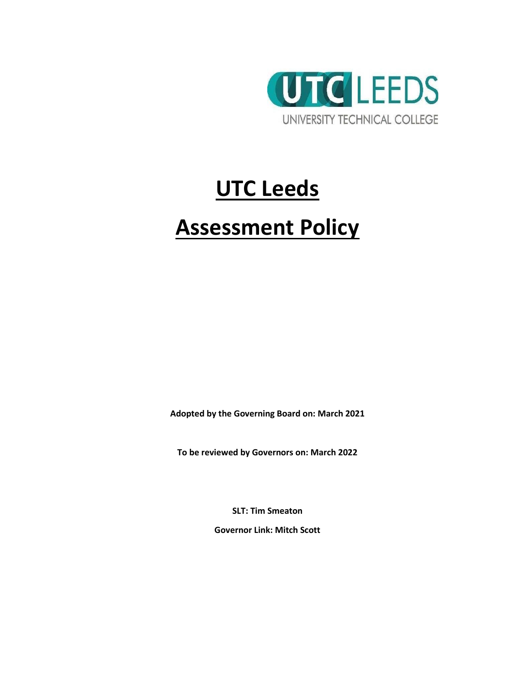

# **UTC Leeds**

## **Assessment Policy**

**Adopted by the Governing Board on: March 2021**

**To be reviewed by Governors on: March 2022**

**SLT: Tim Smeaton**

**Governor Link: Mitch Scott**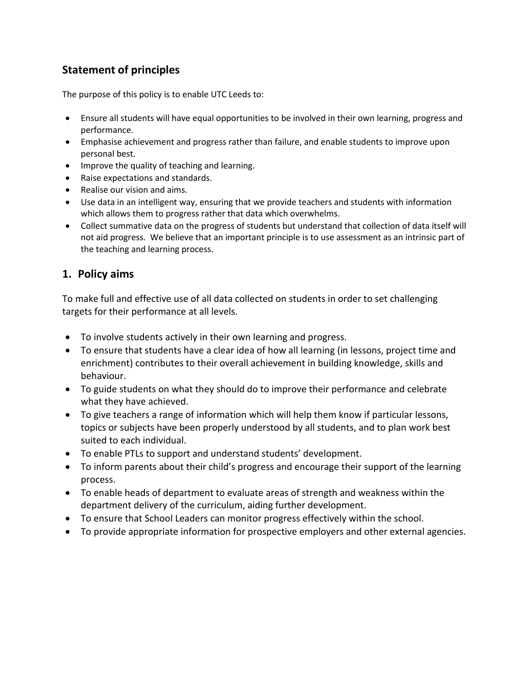### **Statement of principles**

The purpose of this policy is to enable UTC Leeds to:

- Ensure all students will have equal opportunities to be involved in their own learning, progress and performance.
- Emphasise achievement and progress rather than failure, and enable students to improve upon personal best.
- Improve the quality of teaching and learning.
- Raise expectations and standards.
- Realise our vision and aims.
- Use data in an intelligent way, ensuring that we provide teachers and students with information which allows them to progress rather that data which overwhelms.
- Collect summative data on the progress of students but understand that collection of data itself will not aid progress. We believe that an important principle is to use assessment as an intrinsic part of the teaching and learning process.

#### **1. Policy aims**

To make full and effective use of all data collected on students in order to set challenging targets for their performance at all levels.

- To involve students actively in their own learning and progress.
- To ensure that students have a clear idea of how all learning (in lessons, project time and enrichment) contributes to their overall achievement in building knowledge, skills and behaviour.
- To guide students on what they should do to improve their performance and celebrate what they have achieved.
- To give teachers a range of information which will help them know if particular lessons, topics or subjects have been properly understood by all students, and to plan work best suited to each individual.
- To enable PTLs to support and understand students' development.
- To inform parents about their child's progress and encourage their support of the learning process.
- To enable heads of department to evaluate areas of strength and weakness within the department delivery of the curriculum, aiding further development.
- To ensure that School Leaders can monitor progress effectively within the school.
- To provide appropriate information for prospective employers and other external agencies.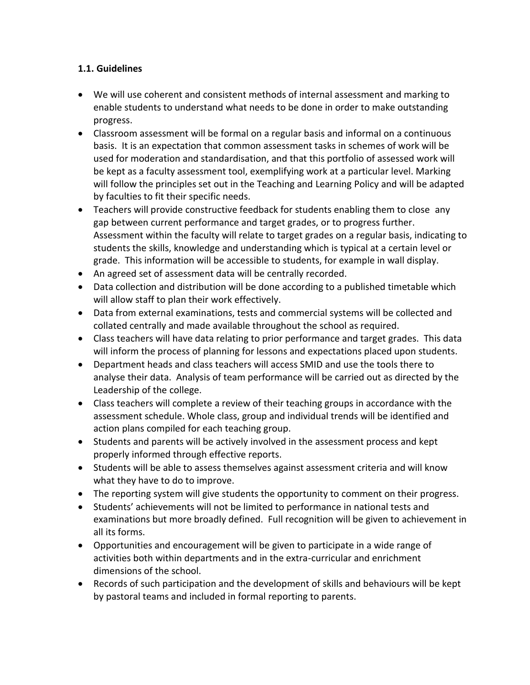#### **1.1. Guidelines**

- We will use coherent and consistent methods of internal assessment and marking to enable students to understand what needs to be done in order to make outstanding progress.
- Classroom assessment will be formal on a regular basis and informal on a continuous basis. It is an expectation that common assessment tasks in schemes of work will be used for moderation and standardisation, and that this portfolio of assessed work will be kept as a faculty assessment tool, exemplifying work at a particular level. Marking will follow the principles set out in the Teaching and Learning Policy and will be adapted by faculties to fit their specific needs.
- Teachers will provide constructive feedback for students enabling them to close any gap between current performance and target grades, or to progress further. Assessment within the faculty will relate to target grades on a regular basis, indicating to students the skills, knowledge and understanding which is typical at a certain level or grade. This information will be accessible to students, for example in wall display.
- An agreed set of assessment data will be centrally recorded.
- Data collection and distribution will be done according to a published timetable which will allow staff to plan their work effectively.
- Data from external examinations, tests and commercial systems will be collected and collated centrally and made available throughout the school as required.
- Class teachers will have data relating to prior performance and target grades. This data will inform the process of planning for lessons and expectations placed upon students.
- Department heads and class teachers will access SMID and use the tools there to analyse their data. Analysis of team performance will be carried out as directed by the Leadership of the college.
- Class teachers will complete a review of their teaching groups in accordance with the assessment schedule. Whole class, group and individual trends will be identified and action plans compiled for each teaching group.
- Students and parents will be actively involved in the assessment process and kept properly informed through effective reports.
- Students will be able to assess themselves against assessment criteria and will know what they have to do to improve.
- The reporting system will give students the opportunity to comment on their progress.
- Students' achievements will not be limited to performance in national tests and examinations but more broadly defined. Full recognition will be given to achievement in all its forms.
- Opportunities and encouragement will be given to participate in a wide range of activities both within departments and in the extra-curricular and enrichment dimensions of the school.
- Records of such participation and the development of skills and behaviours will be kept by pastoral teams and included in formal reporting to parents.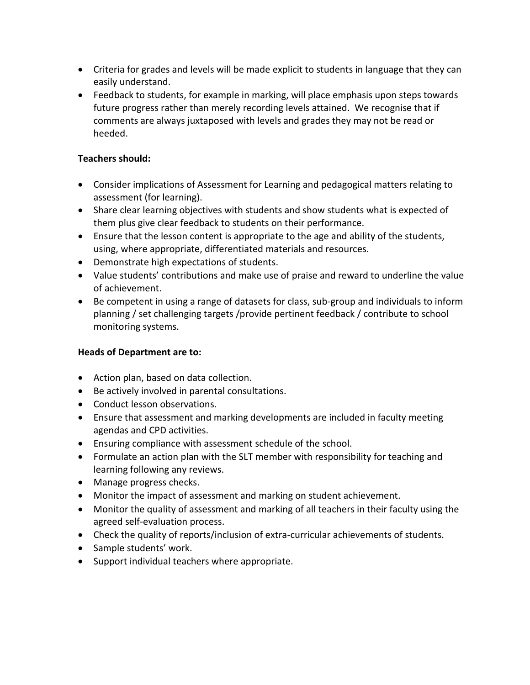- Criteria for grades and levels will be made explicit to students in language that they can easily understand.
- Feedback to students, for example in marking, will place emphasis upon steps towards future progress rather than merely recording levels attained. We recognise that if comments are always juxtaposed with levels and grades they may not be read or heeded.

#### **Teachers should:**

- Consider implications of Assessment for Learning and pedagogical matters relating to assessment (for learning).
- Share clear learning objectives with students and show students what is expected of them plus give clear feedback to students on their performance.
- Ensure that the lesson content is appropriate to the age and ability of the students, using, where appropriate, differentiated materials and resources.
- Demonstrate high expectations of students.
- Value students' contributions and make use of praise and reward to underline the value of achievement.
- Be competent in using a range of datasets for class, sub-group and individuals to inform planning / set challenging targets /provide pertinent feedback / contribute to school monitoring systems.

#### **Heads of Department are to:**

- Action plan, based on data collection.
- Be actively involved in parental consultations.
- Conduct lesson observations.
- Ensure that assessment and marking developments are included in faculty meeting agendas and CPD activities.
- Ensuring compliance with assessment schedule of the school.
- Formulate an action plan with the SLT member with responsibility for teaching and learning following any reviews.
- Manage progress checks.
- Monitor the impact of assessment and marking on student achievement.
- Monitor the quality of assessment and marking of all teachers in their faculty using the agreed self-evaluation process.
- Check the quality of reports/inclusion of extra-curricular achievements of students.
- Sample students' work.
- Support individual teachers where appropriate.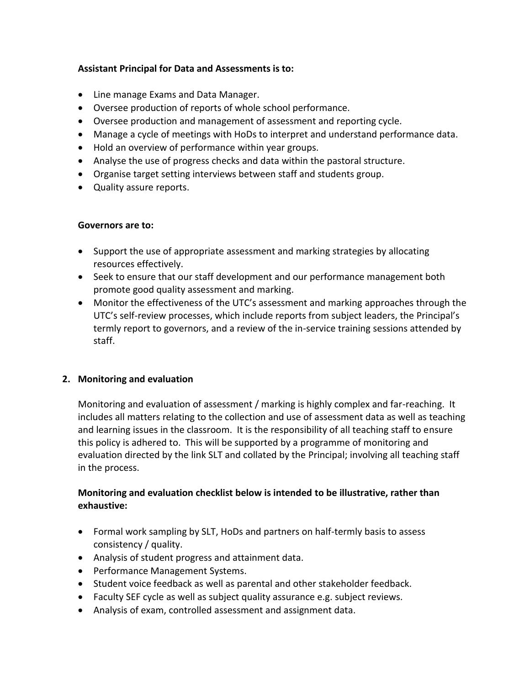#### **Assistant Principal for Data and Assessments is to:**

- Line manage Exams and Data Manager.
- Oversee production of reports of whole school performance.
- Oversee production and management of assessment and reporting cycle.
- Manage a cycle of meetings with HoDs to interpret and understand performance data.
- Hold an overview of performance within year groups.
- Analyse the use of progress checks and data within the pastoral structure.
- Organise target setting interviews between staff and students group.
- Quality assure reports.

#### **Governors are to:**

- Support the use of appropriate assessment and marking strategies by allocating resources effectively.
- Seek to ensure that our staff development and our performance management both promote good quality assessment and marking.
- Monitor the effectiveness of the UTC's assessment and marking approaches through the UTC's self-review processes, which include reports from subject leaders, the Principal's termly report to governors, and a review of the in-service training sessions attended by staff.

#### **2. Monitoring and evaluation**

Monitoring and evaluation of assessment / marking is highly complex and far-reaching. It includes all matters relating to the collection and use of assessment data as well as teaching and learning issues in the classroom. It is the responsibility of all teaching staff to ensure this policy is adhered to. This will be supported by a programme of monitoring and evaluation directed by the link SLT and collated by the Principal; involving all teaching staff in the process.

#### **Monitoring and evaluation checklist below is intended to be illustrative, rather than exhaustive:**

- Formal work sampling by SLT, HoDs and partners on half-termly basis to assess consistency / quality.
- Analysis of student progress and attainment data.
- Performance Management Systems.
- Student voice feedback as well as parental and other stakeholder feedback.
- Faculty SEF cycle as well as subject quality assurance e.g. subject reviews.
- Analysis of exam, controlled assessment and assignment data.